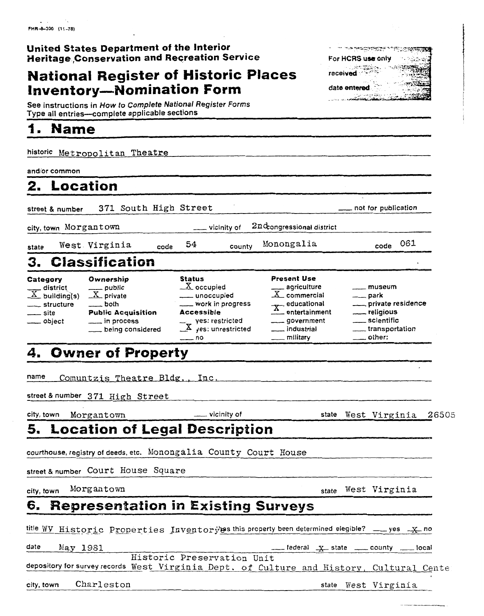|  | United States Department of the Interior            |  |  |
|--|-----------------------------------------------------|--|--|
|  | <b>Heritage Conservation and Recreation Service</b> |  |  |

### **National Register of Historic Places received Inventory-Nomination Form** date entered

See instructions in **How** to Complete National Register Forms Type **all** entries--complete applicable sections **I.** See instructions in *F*<br> **I. Name** 

historic Metropolitan Theatre

and/or common

### **2. Location**

**2. Location**<br>street & number 371 South High Street - not for publication extreet & number 371 South High Street<br>city, town Morgantown - vicinity of 2nd<sub>ongressional district</sub>

state West Virginia code 54 county Monongalia **code 061** 

**For HCRS use only** 

ومستجمع ومتناجع

**STATISTICS** 

# **3. Classification**

| siale                                                                            | ----                                                                                                                                  | ,,,,,,,,,                                                                                                                                                                                 |                                                                                                                                 |                                                                                                                                            |
|----------------------------------------------------------------------------------|---------------------------------------------------------------------------------------------------------------------------------------|-------------------------------------------------------------------------------------------------------------------------------------------------------------------------------------------|---------------------------------------------------------------------------------------------------------------------------------|--------------------------------------------------------------------------------------------------------------------------------------------|
|                                                                                  | 3. Classification                                                                                                                     |                                                                                                                                                                                           |                                                                                                                                 |                                                                                                                                            |
| Category<br>$\frac{X}{X}$ building(s)<br>____ structure<br>___ site<br>__ object | Ownership<br>$\frac{1}{\sqrt{1-\frac{1}{2}}}$ private<br>$\equiv$ both<br><b>Public Acquisition</b><br>in process<br>being considered | <b>Status</b><br>$\underline{X}$ occupied<br>____ unoccupied<br>___ work in progress<br><b>Accessible</b><br>$\frac{1}{x}$ yes: restricted<br>$\frac{x}{x}$ yes: unrestricted<br>$---$ no | <b>Present Use</b><br>$\frac{1}{X}$ agriculture<br>$\frac{X}{X}$ educational<br>____ government<br>__ industrial<br>__ military | $\equiv$ museum<br>$\rule{1em}{0.15mm}$ park<br>___ private residence<br>___ religious<br>____ scientific<br>transportation<br>____ other: |
|                                                                                  |                                                                                                                                       |                                                                                                                                                                                           |                                                                                                                                 |                                                                                                                                            |

### **4. Owner of Property**

name Comuntzis Theatre Bldg... Inc.

Extreet & number 371 High Street<br>
city, town Morgantown - vicinity of state West Virginia 26505

West Virginia

### **5. Location of Legal Description**

courthouse, registry of deeds, etc. Monongalia County Court House

street & number Court House Square

Morgantown city, town

## **6. Representation in Existing Surveys**

date *MV* Historic Properties Inventory as this property been determined elegible? \_\_\_ yes  $\frac{X}{-}$  no<br>date May 1981

state

Bistoric Preservation Unit depository for survey records **West** Virginia Dept . of Culture and Hist *om.* Cultural Cent *<sup>e</sup>*

city, town Charleston **Charnel Charnel Charnel Charnel Charnel** Charnel Charnel Charnel Charnel Charnel Charnel Charnel Charnel Charnel Charnel Charnel Charnel Charnel Charnel Charnel Charnel Charnel Charnel Charnel Charne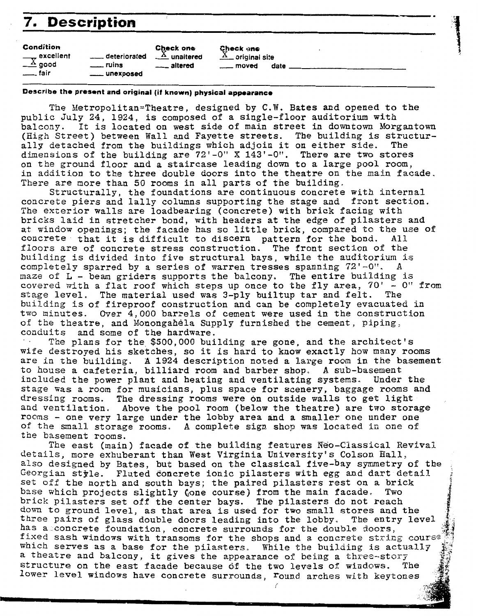| 7. Description                                           |                                       |                                                                         |                                                           |  |
|----------------------------------------------------------|---------------------------------------|-------------------------------------------------------------------------|-----------------------------------------------------------|--|
| Condition<br>$\frac{1}{x}$ excellent<br><sub></sub> fair | deteriorated<br>__ ruins<br>unexposed | Check one<br>$\frac{\Lambda}{\Lambda}$ unaltered<br><u>_</u> __ altered | Check one<br>$\triangle_-$ original site<br>date<br>moved |  |

### **Describe the present and original (if known) physical appearance**

The Xetropolitan=Theatre, designed by **C.W.** Bates and opened to the public July 24, 1924, is composed of a single-floor auditorium with balcony. It is located on west side of main street in downtown Morgantown (High Street) between Wall and Fayette streets. The building is structurally detached from the buildings which adjoin it on either side. The dimensions of the building are 72'-0" X 143'-0". There are two stores on the ground floor and a staircase leading down to a large pool room, in addition to the three double doors into the theatre on **the main** facade. There are nore than 50 rooms in all parts of the building.

Structurally, the foundations are continuous concrete with internal concrete piers and lally columns supporting the stage and front section. The exterior walls are loadbearing (concrete) with brick facing **with**  bricks laid in stretcher bond, with headers at the edge of pilasters and at window openings; the facade has so little brick, compared to the use of concrete that it is difficult to discern pattern for the bond. All floors are of concrete stress construction. The front section of the building is divided into five structural bays, while the auditorium is completely sparred by a series of warren tresses spanning 72'-0". **maze** of L - beam griders supports the balcony. The entire building is covered with a flat roof which steps up once to the fly area, '70' - **0"** from stage level. The material used was 3-ply builtup tar and felt. The building is of fireproof construction and can be completely evacuated in two minutes. Over 4,000 barrels of cement were used in the construction of the theatre, and Monongahela Supply furnished the cement, piping, conduits and some of the hardware.

- **The** plans for the \$500,000 building are gone, and **the** architect's wife destroyed his sketches, so it is hard to **know** exactly how **many** rooms are in the building. A 1924 description noted a large room in the basement to house a cafeteria, billiard room and barber shopc **A sub-basement**  included the power plant and heating and ventilating systems. Under the stage was a room for musicians, plus space for scenery, baggage rooms and dressing rooms. The dressing rooms were on outside walls to get light and ventilation. Above the pool room (below the theatre) are two storage rooms - one very large under the lobby area and a smaller one under **one**  of the small storage rooms. **A** complete **sign** shop was located **in** one of the basement rooms.

The east (main) facade of the building features Reo-Classical **Revival**  details, more exhuberant than West Virginia University's Colson Hall, details, more exhuberant than west virginia buiversity s coison hail,<br>also designed by Bates, but based on the classical five-bay symmetry of the :<br>leorgian style. Fluted Concrete ionic pilasters with egg and dart detail ; Georgian style. Fluted concrete ionic pilasters with egg and dart detail<br>set off the north and south bays; the paired pilasters rest on a brick base which projects slightly (one course) from the main facade. Two brick pilasters set off the center bays. The pilasters do not reach down to ground level, as that area is used for two small stores and **the**  three **pairs** of glass double doors leading into the lobby. **The** entry level has a concrete foundation, concrete surrounds for the double doors, fixed sash windows with transoms for the shops and a concrete string course which serves as a base for the pilasters. While **the** building is actually a theatre and balcony, it gives the appearance of being a three-story Structure on the east facade because 03 the two levels **of** windows. **The**  lower level windows have concrete surrounds, round **arches** with **keytones**  i

an<br>Barat di Santan<br>Barat di Santan **B**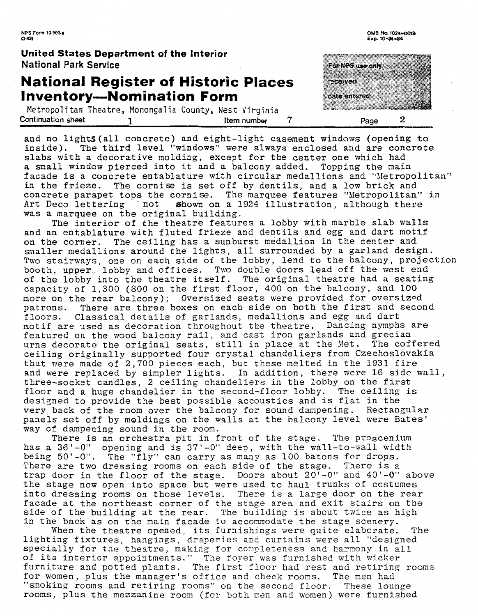**NPS Fom 10.9008**   $C - 821$ 

**United States Department of the Interior**  National Park Sewice

### **National Register of Historic Inventory-Nomination Form**

Metropolitan Theatre, Monongalia County, West Virginia Continuation **sheet 1 Item number 7 Page** 2

and no lightS(al1 concrete) and eight-light casement windows (opening to inside). The third level "windows" were always enclosed and are concrete slabs with a decorative molding, except for the center one which had a small window pierced into it and a balcony added. Topping the main facade is a concrete entablature with circular medallions and "Metropolitan" in the frieze. The cornise is set off by dentils, and a low brick and concrete parapet tops the cornise. The marquee features "hietropolitan" **in**  Art Deco lettering not shown on a 1924 illustration, although there was a marquee on the original building.

The interior of the theatre features a lobby with marble slab walls and an entablature with fluted frieze and dentils and egg and dart motif on the corner. The ceiling has a sunburst medallion in the center and smaller medallions around the lights, all surrounded by a garland design. Two stairways, one on each side of the lobby, lend to the balcony, projection booth, upper lobby and offices. Two double doors lead off the west end of the lobby into the theatre itself. The original theatre had a seating capacity of 1,300 (800 on the first floor, 400 on the balcony, and 100 more on the rear balcony); Oversized seats were provided for oversized patrons. There are three boxes on each side on both the first and second floors. Classical details of garlands, medallions and egg and dart motif are used as decoration throughout the theatre. Dancing nymphs are featured on the wood balcony rail, and cast iron garlands and grecian urns decorate the original seats, still in place at the Met. **The** coffered ceiling originally supported four crystal chandeliers from Czechoslovakia that vere made of 2,700 pieces each, but these melted in the 1931 fire and were make of 2,000 process each, sat these merced in the feed fifts.<br>And were replaced by simpler lights. In addition, there were 16 side wall, three-socket candles, 2 ceiling chandeliers in the lobby on the first floor and a huge chandelier in the second-floor lobby. The ceiling is designed to provide the best possible accoustics and is flat in the very back of the room over the balcony for sound dampening. Rectangular panels set off by moldings on the walls at the balcony level were Bates' way of dampening sound in the room.

There is an orchestra pit in front of the stage, The proscenium has a 36'-0" opening and is 37'-0" deep, with the wall-to-wall width being 50'-0". The "fly" can carry as many as 100 batons for drops. There are two dressing rooms on each side of the stage. There is a trap door in the floor of the stage. Doors about  $20'$ -0" and  $40'$ -0" above the stage now open into space but were used to haul trunks of costumes into dressing rooms on those levels. There is a large door on the rear facade at the northeast corner of the stage area and exit stairs on the acade at the northeast corner of the stage area and exit stairs on the<br>side of the building at the rear. The building is about twice as high In the back as on the main facade to accommodate the stage scenery.

When the theatre opened, its furnishings were quite elaborate. The lighting fixtures, hangings, draperies and curtains were all "designed specially for the theatre, making for completeness and harmony in all of its interior appointments." The foyer was furnished with wicker furniture and potted plants. The first floor had rest and retiring rooms for women, plus the manager's office and check rooms. The men had "smoking rooms and retiring rooms" on the second floor. These lounge rooms, plus the mezzanine room (for both men and women) were furnished

OMB No. 1024-0019 Exp. 10-31-84

For NPS use any received date entered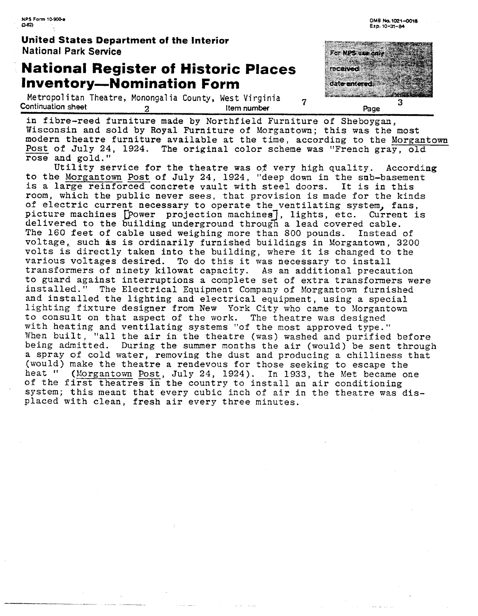### **Unfied States Department of the Interior National Park Service**

### **National Register of Historic Places Inventory-Nomination Form**

Inventory—Nomination Form<br>Metropolitan Theatre, Monongalia County, West Virginia 7<br>Continuation sheet 2 2 Item number 1



in fibre-reed furniture made by Northfield Furniture of Sheboygan, Wisconsin and sold by Royal Furniture of Morgantown; this was the most modern theatre furniture available at the time, according to the Morgantown Post of July 24, 1924. The original color scheme was "French gray, old

rose and gold."<br>Utility service for the theatre was of very high quality. According to the Morgantown Post of July 24, 1924, "deep down in the sub-basement is a large reinforced concrete vault with steel doors. It is in this room, which the public never sees, that provision is made for the kinds of electric current necessary to operate the ventilating system, fans, picture machines [Power projection machines], lights, etc. Current is delivered to the building underground through a lead covered cable. The 160 feet of cable used weighing more than 800 pounds. Instead of voltage, such as is ordinarily furnished buildings in Morgantown, 3200 volts is directly taken into the building, where it is changed to the **various** veltages desired. To do this it was necessary to install transformers of ninety kilowat capacity. As an additional precaution to guard against interruptions a complete set of extra transformers were installed. " The Electrical Equipment Company of Morgantown furnished and installed the lighting and electrical equipment, using a special lighting fixture designer from New York City who came to Morgantown to consult on that aspect of the work. The theatre was designed with heating and ventilating systems "of the most approved type. " Vhen built, "all the air in the theatre **(was)** washed and purified before being admitted. During the summer months the air (would) be sent through a spray of cold water, removing the dust and producing a chilliness that **(would)** make the theatre a rendevous for those seeking to escape the heat " (Morgantown Post, July 24, 1924). In 1933, the Met became one of the first theatres in the country to install an air conditioning system; this meant that every cubic inch of air in the theatre was displaced with clean, fresh air every three minutes.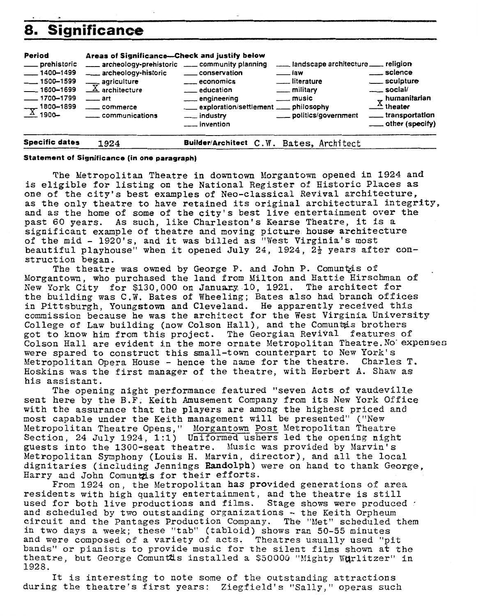# **Significance**

| 8.                                                                                                                                           | <b>Significance</b>                                                                                                                                                                                            |                                                                                                                                                                    |                                                                                                                                                   |                                                                                                                                                                              |
|----------------------------------------------------------------------------------------------------------------------------------------------|----------------------------------------------------------------------------------------------------------------------------------------------------------------------------------------------------------------|--------------------------------------------------------------------------------------------------------------------------------------------------------------------|---------------------------------------------------------------------------------------------------------------------------------------------------|------------------------------------------------------------------------------------------------------------------------------------------------------------------------------|
| Period<br>____ prehistoric<br>$-1400 - 1499$<br>$\frac{1}{1500 - 1599}$<br>$-1600 - 1699$<br>$-1700 - 1799$<br>$\frac{1800 - 1899}{1900 - }$ | Areas of Significance-Check and justify below<br>- archeology-prehistoric - community planning<br>archeology-historic<br>$\frac{1}{\sqrt{X}}$ agriculture<br>$-$ art<br>_____ commerce<br>_____ communications | ____ conservation<br><u>__</u> __ economics<br><u>_</u> _ education<br>engineering<br>____ exploration/settlement ____ philosophy<br>___ industry<br>___ invention | and scape architecture _____ religion<br>$\equiv$ law<br><u>__</u> ___literature<br>$\equiv$ military<br><u>__</u> _ music<br>politics/government | <u>__</u> __ science<br>____ sculpture<br>$\equiv$ social/<br>$\sigma$ humanitarian<br>$\frac{\Lambda}{\Lambda}$ theater<br>_____ transportation<br>$\equiv$ other (specify) |
| <b>Specific dates</b>                                                                                                                        | 1924                                                                                                                                                                                                           | Builder/Architect C.W. Bates, Architect                                                                                                                            |                                                                                                                                                   |                                                                                                                                                                              |

### **Statement of Significance (in one paragraph)**

The Metropolitan Theatre in downtown Morgantom opened in 1924 and is eligible for listing on the National Register of Historic Places **as**  one of the city's best examples of Neo-classical Revival architecture, as the only theatre to have retained its original architectural integrity, and as the home of some of the city's best live entertainment over the past 60 years. As such, like Charleston's Kearse Theatre, it is a significant example of theatre and moving picture **house** architecture of the mid - 1920's, and it was billed as "West Virginia's most beautiful playhouse" when it opened July 24, 1924,  $2\frac{1}{2}$  years after construction began.

The theatre was owned by George P. and John P. Comuntzis of Morgantom, who purchased the land from Milton and Hattie Hirschmaa of New York City for \$130,000 on January 10, 1921. The architect for the building was C.W. Bates of Wheeling; Bates also had branch **offices**  in Pittsburgh, Youngstown and Cleveland. He apparently received this commission because he was the architect for the West Virginia University College of Law building (now Colson Hall), and the Comuntais brothers got to know him from this project. The Georgian Revival features of Colson Hali are evident in the more ornate Metropolitan Theatre.No- **expenses**  were spared to construct this small-town counterpart to New York's Metropolitan Opera House - hence the name for the theatre. Charles T. Hoskins was the first manager of the theatre, with Herbert **A.** Shaw as his assist ant.

The opening night performance featured "seven Acts of vaudeville sent here by the B.F. Keith Amusement Company from its New York Office with the assurance that the players are among the highest priced and most capable under the Keith management will be presented" ("New Metropolitan Theatre Opens," Morgantown Post Metropolitan Theatre Section, 24 July 1924, 1:l) Uniformed ushers led the opening night guests into the 1300-seat theatre. Music was provided by Marvin's Metropolitan Symphony (Louis H. Marvin, director), and all the local dignitaries (including Jennings **Bandolph)** were on hand to thank **George,**  Harry and John Comuntzis for their efforts.

From 1924 on, the Metropolitan has provided generations of **area**  residents with high quality entertainment, and the theatre is still used for both live productions and films. Stage shows were produced : and scheduled by two outstanding organizations - the Keith Orpheum circuit and the Pantages Production Company. The "Met" scheduled them in two days a week; these "tab" (tabloid) shows ran **50-55** minutes and were composed of a variety of acts. Theatres usually used **"pit**  bands" or pianists to provide music for the silent films shown at **the**  theatre, but George Comuntis installed a \$50000 "Mighty Wurlitzer" in 1928.

It is interesting to note some of the outstanding attractions during the theatre's first years: Ziegfield's "Sally," operas such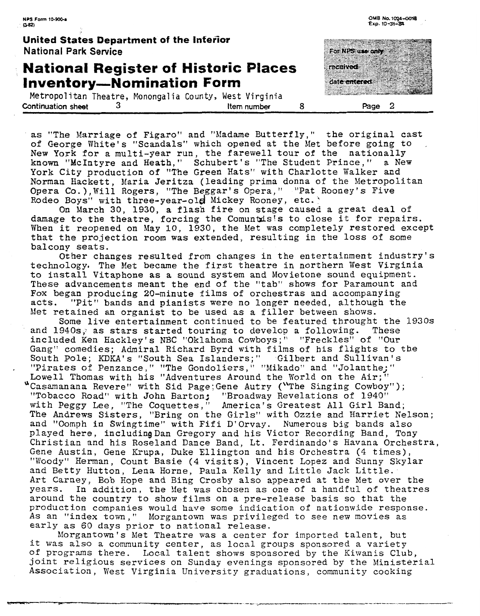**United States Department of the Interior National Park Service** 

### : **National Register of Historic Places Inventory-Nomination Form**

Metropolitan Theatre, Monongalia County, West Virginia **Continuation sheet 3 Item number 8 Page** 2

as "The Marriage of Figaro" and "Madame Butterfly," the original cast of George White's "Scandals" which opened at the Met before going to New York for a multi-year run, the farewell tour of the nationally known "McIntyre and Heath, " Schubert 's "The Student Prince, " a New York City production of "The Green Hats" with Charlotte Walker and Norman Hackett, Maria Jeritza (leading prima donna of the Metropolitan Opera Co.), Will Rogers, "The Beggar's Opera." "Pat Rooney's Five Rodeo Boys" with three-year-old Mickey Rooney, etc.

On March 30, 1930, a flash fire on stage caused a great deal of damage to the theatre, forcing the Comuntais's to close it for repairs. When it reopened on May 10, 1930, the Met was completely restored except that the projection room was extended, resulting in the loss of some balcony seats.

Other changes resulted from changes in the entertainment industry's technology. The Met became the first theatre in northern West Virginia to install Vitaphone as a sound system and Movietone sound equipment. These advancements meant the end of the "tab" shows for Paramount and Fox began producing 20-minute films of orchestras and accompanying acts. "Pit" bands and pianists were no longer needed, although the Met retained an organist to be used as a filler between shows-

Some live entertainment continued to be featured throught the 1930s and 1940s; as stars started touring to develop a following. These included Ken Hackley's NBC "Oklahoma Cowboys;" "Freckles" of "Our Gang" comedies; Admiral Richard Byrd with films of his flights to the South Pole; KDKA's "South Sea Islanders;" Gilbert and Sullivan's "Pirates of Penzance , " "The Gondoliers, " "hfikado" and "Jolant he; " Lowell Thomas with his "Adventures Around the World on the Air; "Casamanana Revere" with Sid Page; Gene Autry ("The Singing Cowboy"); "Tobacco Road" with John Barton; "Broadway Revelations of 1940" with Peggy Lee, "The Coquettes," America's Greatest All Girl Band; The Andrews Sisters, "Bring on the Girls" with Ozzie and Harriet Nelson: and "Oomph in Swingtime" with Fifi D'Orvay. Numerous big bands also played here, includingDan Gregory and his Victor Recording Band, Tong Christian and his Roseland Dance Band, Lt. Ferdinando's Havana Orchestra, Gene Austin, Gene Krupa, **Duke** Ellington and his Orchestra (4 times), "Woody" Herman, Count Basie (4 visits), Vincent Lopez and Sunny Skylar and Betty Hutton, Lena Horne, Paula Kelly and Little Jack Little. Art Carney, Bob Hope and Bing Crosby also appeared at the Met over the years. In addition, the Met was chosen as one of a handful of theatres around the country to show films on a pre-release basis so that the production companies would have some indication of nationwide response. As an "index town," Morgantown was privileged to see new movies as early as 60 days prior to national release.

Xlorgantown's Met Theatre was a center for imported talent, but it was also a community center, as local groups sponsored a variety of programs there. Local talent shows sponsored by the Kimanis Club, joint religious services on Sunday evenings sponsored by the Ministerial Association, West Virginia University graduations, community cooking

## **Exp. 10-31-84** For NPS use only.

**OM% No. 1024-** 

date entered

received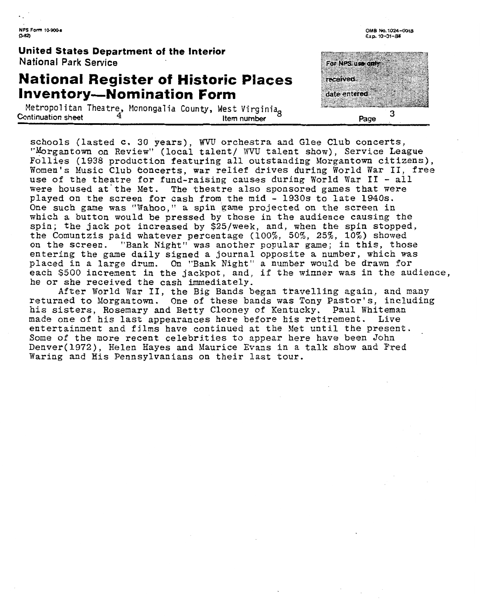United States Department of the Interior **National Park Service** 

### **National Register of Historic Places Inventory-Nomination Form**

Metropolitan Theatre, Monongalia County, West Virginia<sub>g</sub> and the munic Continuation sheet and the munic Page

schools (lasted c. 30 years), WVU orchestra and Glee Club concerts, "Morgantown on Review" (local talent/ WVU talent show), Service League Follies (1938 production featuring all outstanding Morgantown citizens), Women's Music Club Concerts, war relief drives during World War **11,** free use of the theatre for fund-raising causes during World War **I1** - all were housed at'the Met. The theatre also sponsored games that were played on the screen for cash from the mid - 1930s to late 1940s. One such game was "Vahoo," a **spin game** projected on the screen in which a button would be pressed by those in the audience causing the spin; the jack pot increased by \$25/week, and, when the spin stopped, the Comuntzis paid whatever percentage (loo%, 50%, 25%, 10%) showed on the screen. **"Bank** Night" was another popular game; in this, those entering the game daily signed a journal opposite a number, which was placed in a large drum. On "Bank Night" a number would be drawn for each \$500 increment in the jackpot, and, if the winner was in the audience, he or she received the cash immediately.

After Vorld Var 11, the **Big** Bands began travelling again, and **many**  returned to Morgantown. One of these bands was Tony Pastor's, including his sisters, Rosemary and Betty Clooney of Kentucky. Paul Whiteman made one of his last appearances here before his retirement. Live entertainment and films have continued at the Met until the present. Some of the more recent celebrities to appear here have been John Denver(1972), Helen Hayes and Maurice Evans in a **talk** show and **Fred**  Waring and His Pennsylvanians on their last tour.

For NPS (Ise on received date entered 3

**OM5 No. 1024-0018 Exp. 10-31--&0**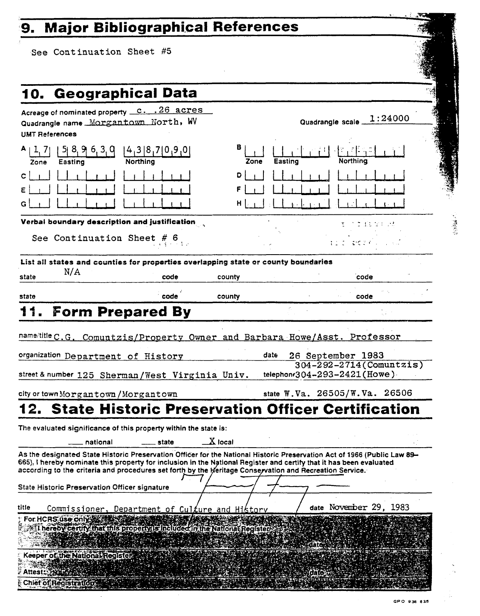# 9. Major Bibliographical References

See Continuation Sheet #5

| 10. Geographical Data                                                                                                                                                                                                                                                                                                                                                                                                                                                                                                                               |                      |                                                                                |  |
|-----------------------------------------------------------------------------------------------------------------------------------------------------------------------------------------------------------------------------------------------------------------------------------------------------------------------------------------------------------------------------------------------------------------------------------------------------------------------------------------------------------------------------------------------------|----------------------|--------------------------------------------------------------------------------|--|
| Acreage of nominated property <u>c. . 26 acres</u><br>Quadrangle name Morgantown North, WV<br><b>UMT References</b>                                                                                                                                                                                                                                                                                                                                                                                                                                 |                      | 1:24000<br>Quadrangle scale                                                    |  |
| 4,3 8,7 0,9,0 <br>8, 9, 6, 3, 0<br>Northing<br>Easting<br>Zone                                                                                                                                                                                                                                                                                                                                                                                                                                                                                      | в<br>Easting<br>Zone | Northina                                                                       |  |
|                                                                                                                                                                                                                                                                                                                                                                                                                                                                                                                                                     | D<br>$H \mid$        |                                                                                |  |
| Verbal boundary description and justification                                                                                                                                                                                                                                                                                                                                                                                                                                                                                                       |                      |                                                                                |  |
| See Continuation Sheet # $6$                                                                                                                                                                                                                                                                                                                                                                                                                                                                                                                        |                      | さぼおないいた<br>こむりのくし                                                              |  |
| List all states and counties for properties overlapping state or county boundaries                                                                                                                                                                                                                                                                                                                                                                                                                                                                  |                      |                                                                                |  |
| N/A<br>code<br>state                                                                                                                                                                                                                                                                                                                                                                                                                                                                                                                                | county               | code                                                                           |  |
| code<br>state                                                                                                                                                                                                                                                                                                                                                                                                                                                                                                                                       | county               | code                                                                           |  |
| name/title C.G. Comuntzis/Property Owner and Barbara Howe/Asst. Professor<br>organization Department of History<br>street & number 125 Sherman/West Virginia Univ.                                                                                                                                                                                                                                                                                                                                                                                  | date                 | 26 September 1983<br>304-292-2714 (Comuntzis)<br>telephonr304-293-2421 (Howe). |  |
|                                                                                                                                                                                                                                                                                                                                                                                                                                                                                                                                                     |                      |                                                                                |  |
|                                                                                                                                                                                                                                                                                                                                                                                                                                                                                                                                                     |                      | state W.Va. 26505/W.Va. 26506                                                  |  |
| city or town Morgantown / Morgantown<br>2. State Historic Preservation Officer Certification<br>The evaluated significance of this property within the state is:<br>national<br>state<br>As the designated State Historic Preservation Officer for the National Historic Preservation Act of 1966 (Public Law 89-<br>665), I hereby nominate this property for inclusion in the National Register and certify that it has been evaluated<br>according to the criteria and procedures set forth by the heritage Conservation and Recreation Service. | $\mathbf{X}$ local   |                                                                                |  |
|                                                                                                                                                                                                                                                                                                                                                                                                                                                                                                                                                     |                      |                                                                                |  |
| State Historic Preservation Officer signature<br>title<br>Commissioner, Department of Culture and History<br>For HCRS use only<br>I hereby certify that this property is included in the National Register<br>Keeper of the National Register<br>Attest 1992 Bay                                                                                                                                                                                                                                                                                    |                      | date November 29, 1983<br>dife                                                 |  |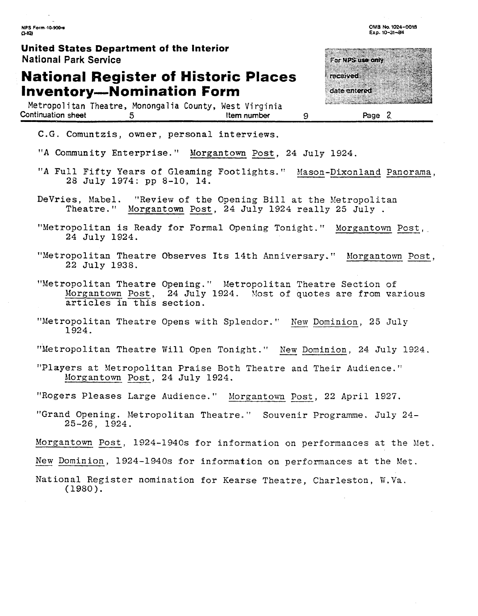**United States Department of the Interior National Park Service** 

### **National Register of Historic Places Inventory-Nomination Form**

Metropolitan Theatre, Monongalia County, West Virginia<br>ontinuation sheet 5<br>flem number Continuation **sheet** 5 **Item number 9 Pase** 2

For NPS use only *received* date entered a a shekarar 200

OMB No. 1024-0018 Exp. 10-31-84

C.G. Comuntzis, owner, personal interviews.

"A Community Enterprise. " Morgantown Post, 24 July 1924.

"A Full Fifty Years of Gleaming Footlights." Mason-Dixonland Panorama,<br>28 July 1974: pp 8-10, 14.

- DeVries, Mabel. "Review of the Opening Bill at the Metropolitan Theatre." Morgantown Post, 24 July 1924 really 25 July .
- "Metropolitan is Ready for Formal Opening Tonight." Morgantown Post, 24 July 1924.
- "Metropolitan Theatre Observes Its 14th Anniversary." Morgantown Post, 22 July 1938.
- "Metropolitan Theatre Opening." Metropolitan Theatre Section of Morgantown Post, 24 July 1924. Most of quotes are from various articles in this section.
- "Metropolitan Theatre Opens with Splendor. " New Dominion, 25 July 1924.
- "Metropolitan Theatre Will Open Tonight." New Dominion, 24 July 1924.
- . . "Players at Metropolitan Praise Both Theatre and Their Audience." Morgantown Post, 24 July 1924.
- "Rogers Pleases Large Audience. '' Morgantown Post, 22 April 1927.
- "Grand Opening. Metropolitan Theatre." Souvenir Programme. July 24-25-26, 1924.

Morgantown Post, 1924-1940s for information on performances at the Met.

New Dominion, 1924-1940s for information on performances at the Met.

National Register nomination for Kearse Theatre, Charleston, **M,Va.**  (1980).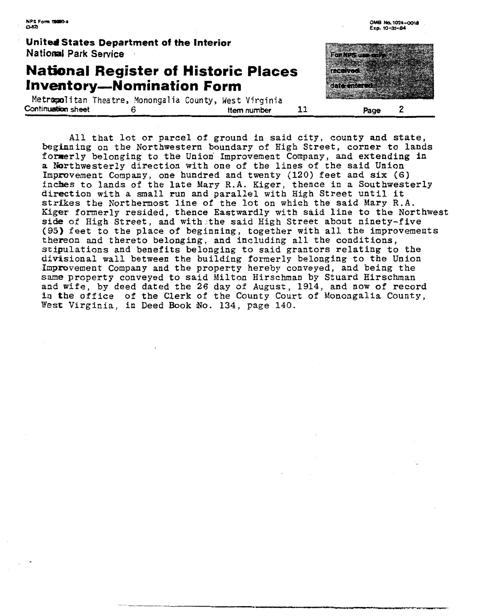

All that lot or parcel of ground in said city, county and state, beginning on the Northwestern boundary of High Street, corner to lands formerly belonging to the Unioxi Improvement Company, **and** extending in a Northwesterly direction with one of the lines of the said Union Improvement Company, one hundred and twenty (120) feet and **six** (6) mprovement Company, one nundred and twenty (120) leet and SIX (0)<br>Inches to lands of the late Mary R.A. Kiger, thence in a Southwesterly<br>direction with a small run and parallel with High Street until it strikes the Northermost line of the lot on which the said Mary R.A. Kiger formerly resided, thence Eastwardly with **said** line to the Northwest side of High Street, and with the said High Street about ninety-five (95) feet to the place of beginning, together with all the improvements thereon and thereto belonging, and including all the conditions, stipulations and benefits belonging to said grantors relating to the divisional wall between the building formerly belonging to the Union Improvement Company and the property hereby conveyed, and being the same property conveyed to said Milton Hirschman by Stuard Hirschman **and** wife, by deed dated the 26 day of August, 1914, and now of record in the office of the Clerk of the County Court of Monongalia County, West Virginia, in Deed Book No. 134, page 140.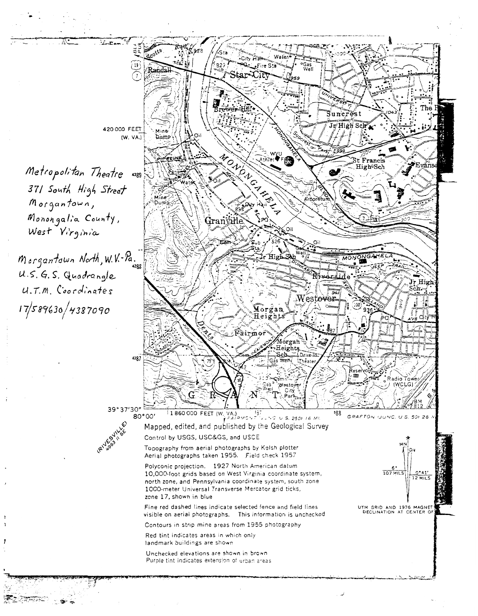